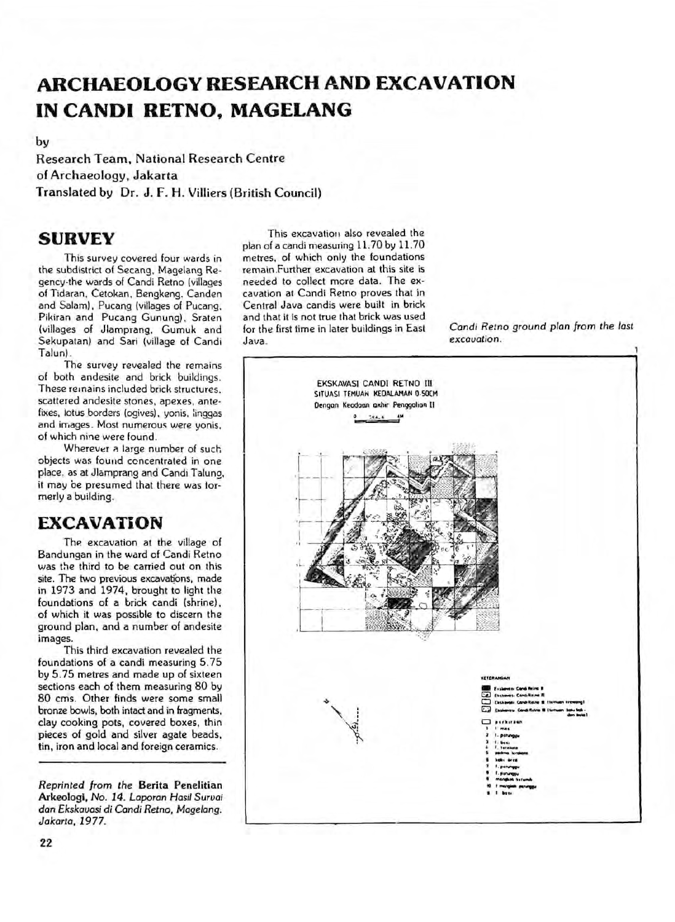## **ARCHAEOLOGY RESEARCH AND EXCAVATION IN CANDI RETNO, MAGELANG**

by

Research Team, National Research Centre of Archaeology, Jakarta Translated by Dr. J. F. H. Villiers (British Council)

## **SURVEY**

This survey covered four wards in the subdistrict of Secang, Magelang Regency-the wards of Candi Retno (villages of Tidaran, Cetokan, Bengkeng. Canden and Salam), Pucang (villages of Pucang, Pikiran and Pucang Gunung), Sraten (villages of Jlamprang, Gumuk and Sekupatan) and Sari (village of Candi Talun).

The survey revealed the remains of both andesite and brick buildings. These remains included brick structures, scattered andesite stones, apexes, antefixes, iotus borders (ogives), yonis, linggas and images. Most numerous were yonis, of which nine were found.

Wherever a large number of such objects was found concentrated in one place, as at Jlamprang and Candi Talung, it may be presumed that there was formerly a building.

## **EXCAVATION**

The excavation at the village of Bandungan in the ward of Candi Retno was the third to be carried out on this site. The two previous excavations, made in 1973 and 1974, brought to light the foundations of a brick candi (shrine), of which it was possible to discern the ground plan, and a number of andesite images.

This third excavation revealed the foundations of a candi measuring 5.75 by 5.75 metres and made up of sixteen sections each of them measuring 80 by 80 cms. Other finds were some small bronze bowls, both intact and in fragments, clay cooking pots, covered boxes, thin pieces of gold and silver agate beads, tin, iron and local and foreign ceramics.

*Reprinted from the* Berita Penelitian Arkeologi, *No. 14. Laporan Hasil Suruai dan Ekskaoasi di Candi Retno, Magelang. Jakarta, 1977.* 

This excavation also revealed the plan of a candi measuring 11.70 by 11.70 metres, of which only the foundations remain .Further excavation at this site is needed to collect mere data. The excavation at Candi Retno proves that in Central Java candis were built in brick and that it is not true that brick was used for the first time in later buildings in East Java.

*Candi Retno ground plan from the last excavation.*